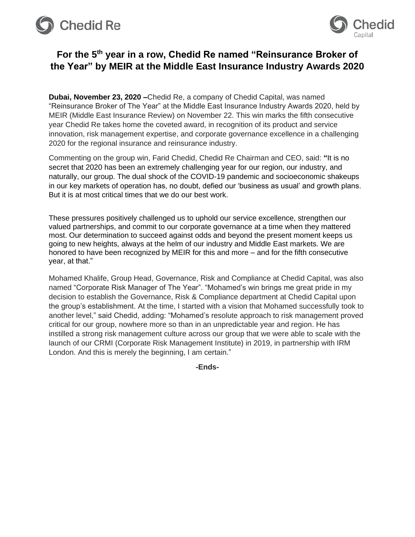



## **For the 5th year in a row, Chedid Re named "Reinsurance Broker of the Year" by MEIR at the Middle East Insurance Industry Awards 2020**

**Dubai, November 23, 2020 –**Chedid Re, a company of Chedid Capital, was named "Reinsurance Broker of The Year" at the Middle East Insurance Industry Awards 2020, held by MEIR (Middle East Insurance Review) on November 22. This win marks the fifth consecutive year Chedid Re takes home the coveted award, in recognition of its product and service innovation, risk management expertise, and corporate governance excellence in a challenging 2020 for the regional insurance and reinsurance industry.

Commenting on the group win, Farid Chedid, Chedid Re Chairman and CEO, said: **"**It is no secret that 2020 has been an extremely challenging year for our region, our industry, and naturally, our group. The dual shock of the COVID-19 pandemic and socioeconomic shakeups in our key markets of operation has, no doubt, defied our 'business as usual' and growth plans. But it is at most critical times that we do our best work.

These pressures positively challenged us to uphold our service excellence, strengthen our valued partnerships, and commit to our corporate governance at a time when they mattered most. Our determination to succeed against odds and beyond the present moment keeps us going to new heights, always at the helm of our industry and Middle East markets. We are honored to have been recognized by MEIR for this and more – and for the fifth consecutive year, at that."

Mohamed Khalife, Group Head, Governance, Risk and Compliance at Chedid Capital, was also named "Corporate Risk Manager of The Year". "Mohamed's win brings me great pride in my decision to establish the Governance, Risk & Compliance department at Chedid Capital upon the group's establishment. At the time, I started with a vision that Mohamed successfully took to another level," said Chedid, adding: "Mohamed's resolute approach to risk management proved critical for our group, nowhere more so than in an unpredictable year and region. He has instilled a strong risk management culture across our group that we were able to scale with the launch of our CRMI (Corporate Risk Management Institute) in 2019, in partnership with IRM London. And this is merely the beginning, I am certain."

**-Ends-**